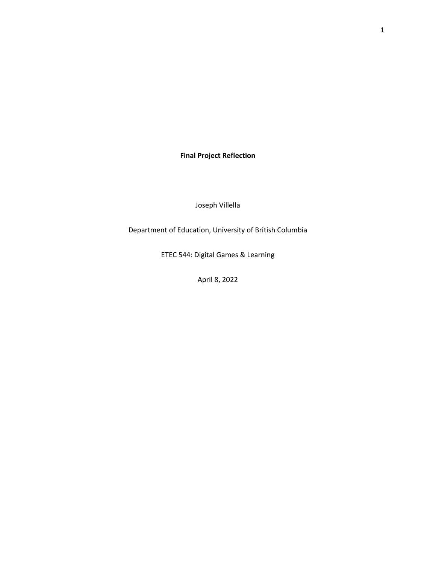**Final Project Reflection**

Joseph Villella

Department of Education, University of British Columbia

ETEC 544: Digital Games & Learning

April 8, 2022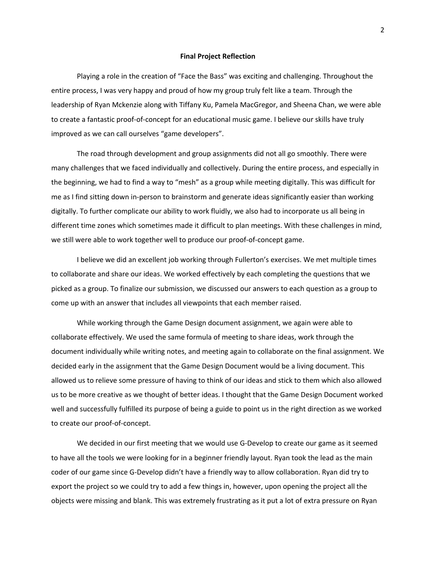## **Final Project Reflection**

Playing a role in the creation of "Face the Bass" was exciting and challenging. Throughout the entire process, I was very happy and proud of how my group truly felt like a team. Through the leadership of Ryan Mckenzie along with Tiffany Ku, Pamela MacGregor, and Sheena Chan, we were able to create a fantastic proof-of-concept for an educational music game. I believe our skills have truly improved as we can call ourselves "game developers".

The road through development and group assignments did not all go smoothly. There were many challenges that we faced individually and collectively. During the entire process, and especially in the beginning, we had to find a way to "mesh" as a group while meeting digitally. This was difficult for me as I find sitting down in-person to brainstorm and generate ideas significantly easier than working digitally. To further complicate our ability to work fluidly, we also had to incorporate us all being in different time zones which sometimes made it difficult to plan meetings. With these challenges in mind, we still were able to work together well to produce our proof-of-concept game.

I believe we did an excellent job working through Fullerton's exercises. We met multiple times to collaborate and share our ideas. We worked effectively by each completing the questions that we picked as a group. To finalize our submission, we discussed our answers to each question as a group to come up with an answer that includes all viewpoints that each member raised.

While working through the Game Design document assignment, we again were able to collaborate effectively. We used the same formula of meeting to share ideas, work through the document individually while writing notes, and meeting again to collaborate on the final assignment. We decided early in the assignment that the Game Design Document would be a living document. This allowed us to relieve some pressure of having to think of our ideas and stick to them which also allowed us to be more creative as we thought of better ideas. I thought that the Game Design Document worked well and successfully fulfilled its purpose of being a guide to point us in the right direction as we worked to create our proof-of-concept.

We decided in our first meeting that we would use G-Develop to create our game as it seemed to have all the tools we were looking for in a beginner friendly layout. Ryan took the lead as the main coder of our game since G-Develop didn't have a friendly way to allow collaboration. Ryan did try to export the project so we could try to add a few things in, however, upon opening the project all the objects were missing and blank. This was extremely frustrating as it put a lot of extra pressure on Ryan